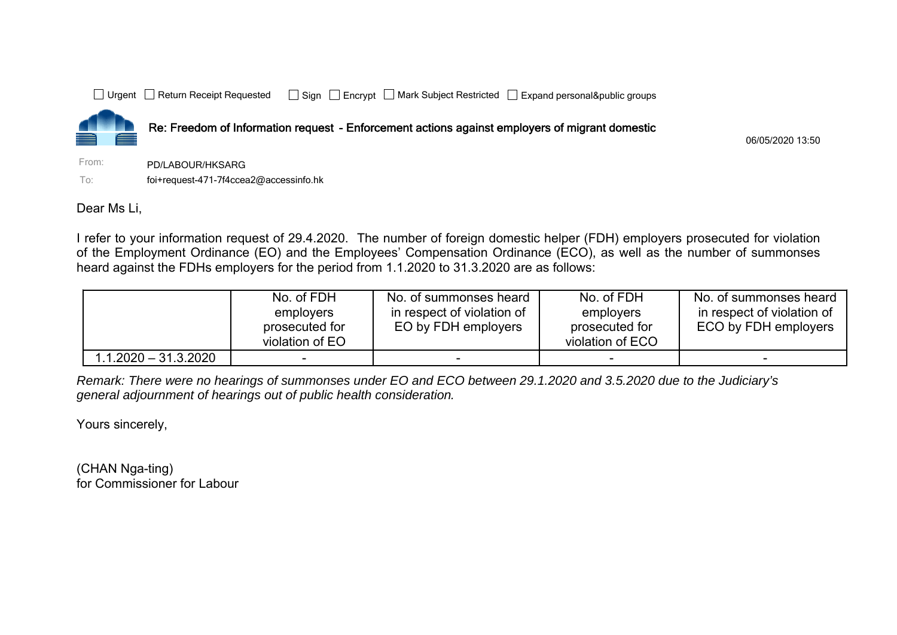



Re: Freedom of Information request - Enforcement actions against employers of migrant domestic

06/05/2020 13:50

From: PD/LABOUR/HKSARGTo:foi+request-471-7f4ccea2@accessinfo.hk

Dear Ms Li,

I refer to your information request of 29.4.2020. The number of foreign domestic helper (FDH) employers prosecuted for violation of the Employment Ordinance (EO) and the Employees' Compensation Ordinance (ECO), as well as the number of summonses heard against the FDHs employers for the period from 1.1.2020 to 31.3.2020 are as follows:

|                      | No. of FDH<br>employers<br>prosecuted for<br>violation of EO | No. of summonses heard<br>in respect of violation of<br>EO by FDH employers | No. of FDH<br>employers<br>prosecuted for<br>violation of ECO | No. of summonses heard<br>in respect of violation of<br>ECO by FDH employers |
|----------------------|--------------------------------------------------------------|-----------------------------------------------------------------------------|---------------------------------------------------------------|------------------------------------------------------------------------------|
| 1.1.2020 – 31.3.2020 |                                                              |                                                                             |                                                               |                                                                              |

*Remark: There were no hearings of summonses under EO and ECO between 29.1.2020 and 3.5.2020 due to the Judiciary's general adjournment of hearings out of public health consideration.* 

Yours sincerely,

(CHAN Nga-ting) for Commissioner for Labour